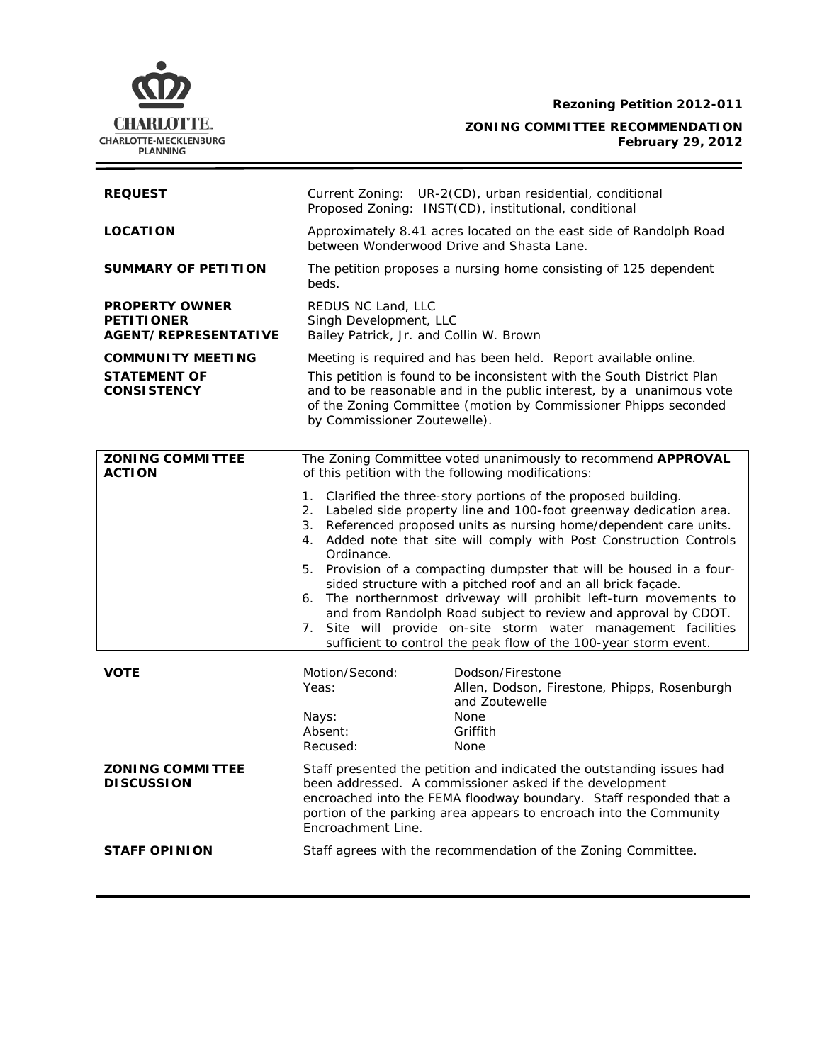**Rezoning Petition 2012-011** 

Q **CHARLOTTE.** CHARLOTTE-MECKLENBURG<br>PLANNING

**ZONING COMMITTEE RECOMMENDATION February 29, 2012**

| <b>REQUEST</b>                                                            | Current Zoning: UR-2(CD), urban residential, conditional<br>Proposed Zoning: INST(CD), institutional, conditional                                                                                                                                                                                                                                                                                                                                                                                                                                                                                                                                                                                                       |
|---------------------------------------------------------------------------|-------------------------------------------------------------------------------------------------------------------------------------------------------------------------------------------------------------------------------------------------------------------------------------------------------------------------------------------------------------------------------------------------------------------------------------------------------------------------------------------------------------------------------------------------------------------------------------------------------------------------------------------------------------------------------------------------------------------------|
| <b>LOCATION</b>                                                           | Approximately 8.41 acres located on the east side of Randolph Road<br>between Wonderwood Drive and Shasta Lane.                                                                                                                                                                                                                                                                                                                                                                                                                                                                                                                                                                                                         |
| <b>SUMMARY OF PETITION</b>                                                | The petition proposes a nursing home consisting of 125 dependent<br>beds.                                                                                                                                                                                                                                                                                                                                                                                                                                                                                                                                                                                                                                               |
| <b>PROPERTY OWNER</b><br><b>PETITIONER</b><br><b>AGENT/REPRESENTATIVE</b> | REDUS NC Land, LLC<br>Singh Development, LLC<br>Bailey Patrick, Jr. and Collin W. Brown                                                                                                                                                                                                                                                                                                                                                                                                                                                                                                                                                                                                                                 |
| <b>COMMUNITY MEETING</b><br><b>STATEMENT OF</b><br><b>CONSISTENCY</b>     | Meeting is required and has been held. Report available online.<br>This petition is found to be inconsistent with the South District Plan<br>and to be reasonable and in the public interest, by a unanimous vote<br>of the Zoning Committee (motion by Commissioner Phipps seconded<br>by Commissioner Zoutewelle).                                                                                                                                                                                                                                                                                                                                                                                                    |
| <b>ZONING COMMITTEE</b><br><b>ACTION</b>                                  | The Zoning Committee voted unanimously to recommend APPROVAL<br>of this petition with the following modifications:                                                                                                                                                                                                                                                                                                                                                                                                                                                                                                                                                                                                      |
|                                                                           | 1. Clarified the three-story portions of the proposed building.<br>2. Labeled side property line and 100-foot greenway dedication area.<br>3. Referenced proposed units as nursing home/dependent care units.<br>4. Added note that site will comply with Post Construction Controls<br>Ordinance.<br>5. Provision of a compacting dumpster that will be housed in a four-<br>sided structure with a pitched roof and an all brick façade.<br>6. The northernmost driveway will prohibit left-turn movements to<br>and from Randolph Road subject to review and approval by CDOT.<br>7. Site will provide on-site storm water management facilities<br>sufficient to control the peak flow of the 100-year storm event. |
| <b>VOTE</b>                                                               | Motion/Second:<br>Dodson/Firestone<br>Allen, Dodson, Firestone, Phipps, Rosenburgh<br>Yeas:<br>and Zoutewelle<br><b>None</b><br>Nays:<br>Absent:<br>Griffith<br>Recused:<br><b>None</b>                                                                                                                                                                                                                                                                                                                                                                                                                                                                                                                                 |
| <b>ZONING COMMITTEE</b><br><b>DISCUSSION</b>                              | Staff presented the petition and indicated the outstanding issues had<br>been addressed. A commissioner asked if the development<br>encroached into the FEMA floodway boundary. Staff responded that a<br>portion of the parking area appears to encroach into the Community<br>Encroachment Line.                                                                                                                                                                                                                                                                                                                                                                                                                      |
| <b>STAFF OPINION</b>                                                      | Staff agrees with the recommendation of the Zoning Committee.                                                                                                                                                                                                                                                                                                                                                                                                                                                                                                                                                                                                                                                           |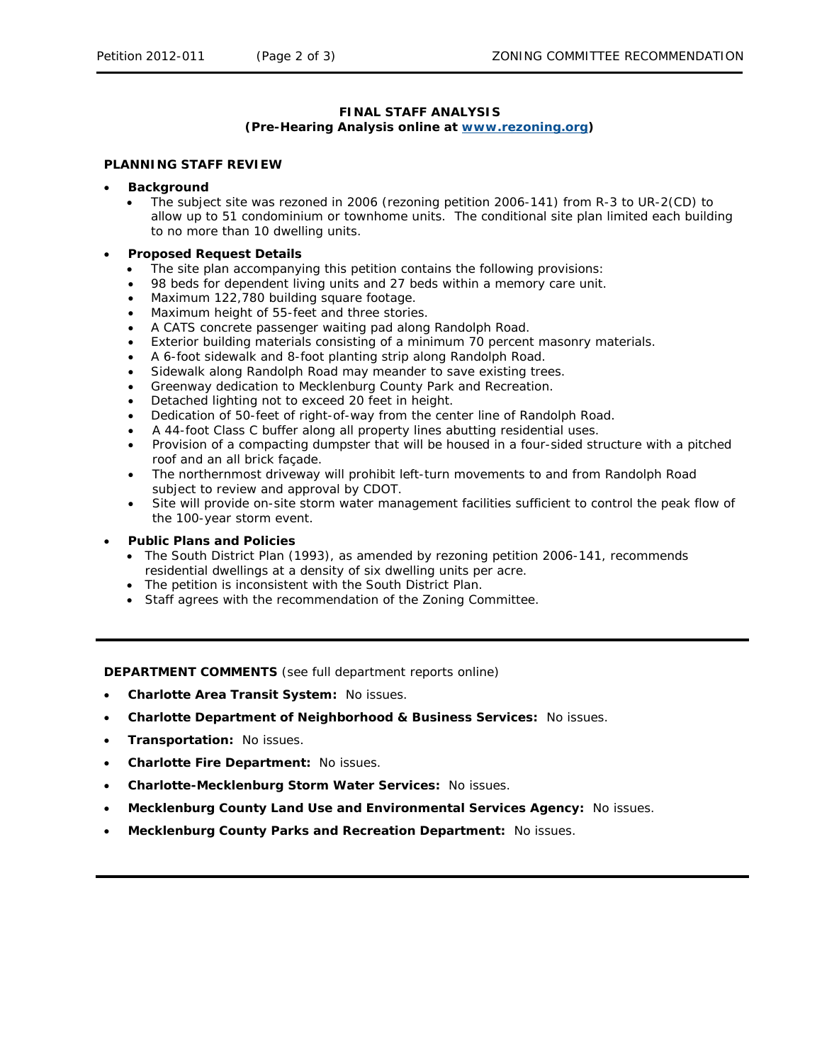# **FINAL STAFF ANALYSIS (Pre-Hearing Analysis online at [www.rezoning.org](http://www.rezoning.org/))**

### **PLANNING STAFF REVIEW**

### • **Background**

- The subject site was rezoned in 2006 (rezoning petition 2006-141) from R-3 to UR-2(CD) to allow up to 51 condominium or townhome units. The conditional site plan limited each building to no more than 10 dwelling units.
- **Proposed Request Details** 
	- The site plan accompanying this petition contains the following provisions:<br>• 98 beds for dependent living units and 27 beds within a memory care unit.
	- 98 beds for dependent living units and 27 beds within a memory care unit.
	- Maximum 122,780 building square footage.
	- Maximum height of 55-feet and three stories.
	- A CATS concrete passenger waiting pad along Randolph Road.
	- Exterior building materials consisting of a minimum 70 percent masonry materials.
	- A 6-foot sidewalk and 8-foot planting strip along Randolph Road.
	- Sidewalk along Randolph Road may meander to save existing trees.
	- Greenway dedication to Mecklenburg County Park and Recreation.
	- Detached lighting not to exceed 20 feet in height.
	- Dedication of 50-feet of right-of-way from the center line of Randolph Road.
	- A 44-foot Class C buffer along all property lines abutting residential uses. •
	- Provision of a compacting dumpster that will be housed in a four-sided structure with a pitched roof and an all brick façade.
	- The northernmost driveway will prohibit left-turn movements to and from Randolph Road subject to review and approval by CDOT.
	- Site will provide on-site storm water management facilities sufficient to control the peak flow of the 100-year storm event.

### • **Public Plans and Policies**

- The *South District Plan* (1993), as amended by rezoning petition 2006-141, recommends residential dwellings at a density of six dwelling units per acre.
- The petition is inconsistent with the *South District Plan*.
- Staff agrees with the recommendation of the Zoning Committee.

**DEPARTMENT COMMENTS** (see full department reports online)

- **Charlotte Area Transit System:** No issues.
- **Charlotte Department of Neighborhood & Business Services:** No issues.
- **Transportation:** No issues.
- **Charlotte Fire Department:** No issues.
- **Charlotte-Mecklenburg Storm Water Services: No issues.**
- **Mecklenburg County Land Use and Environmental Services Agency: No issues.**
- **Mecklenburg County Parks and Recreation Department:** No issues.